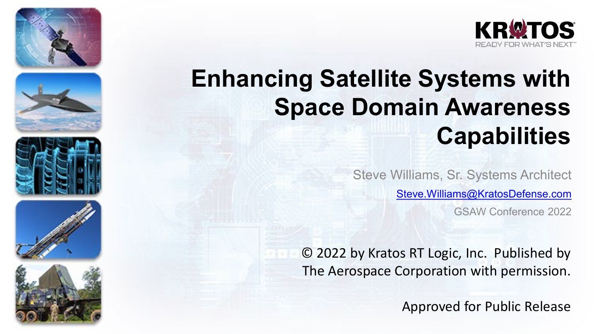











# **Enhancing Satellite Systems with Space Domain Awareness Capabilities**

Steve Williams, Sr. Systems Architect [Steve.Williams@KratosDefense.com](mailto:Steve.Williams@KratosDefense.com) GSAW Conference 2022

© 2022 by Kratos RT Logic, Inc. Published by The Aerospace Corporation with permission.

Approved for Public Release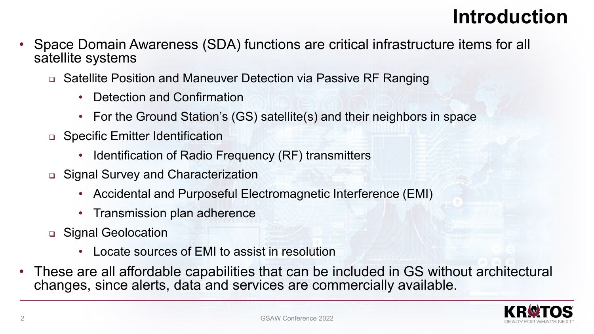## **Introduction**

- Space Domain Awareness (SDA) functions are critical infrastructure items for all satellite systems
	- Satellite Position and Maneuver Detection via Passive RF Ranging
		- Detection and Confirmation
		- For the Ground Station's (GS) satellite(s) and their neighbors in space
	- □ Specific Emitter Identification
		- Identification of Radio Frequency (RF) transmitters
	- Signal Survey and Characterization
		- Accidental and Purposeful Electromagnetic Interference (EMI)
		- Transmission plan adherence
	- □ Signal Geolocation
		- Locate sources of EMI to assist in resolution
- These are all affordable capabilities that can be included in GS without architectural changes, since alerts, data and services are commercially available.

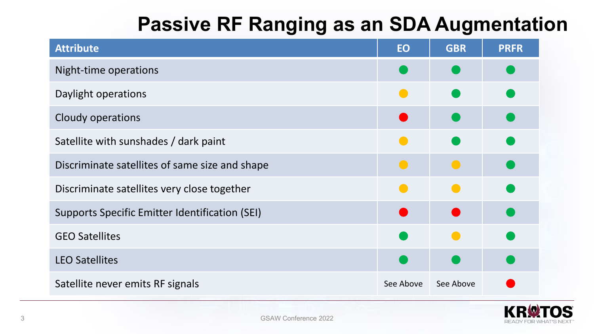## **Passive RF Ranging as an SDA Augmentation**

| <b>Attribute</b>                                      | EO        | <b>GBR</b> | <b>PRFR</b> |
|-------------------------------------------------------|-----------|------------|-------------|
| Night-time operations                                 |           |            |             |
| Daylight operations                                   |           |            |             |
| Cloudy operations                                     |           |            |             |
| Satellite with sunshades / dark paint                 |           |            |             |
| Discriminate satellites of same size and shape        | $\bullet$ | $\bullet$  |             |
| Discriminate satellites very close together           |           |            |             |
| <b>Supports Specific Emitter Identification (SEI)</b> |           |            |             |
| <b>GEO Satellites</b>                                 |           |            |             |
| <b>LEO Satellites</b>                                 |           |            |             |
| Satellite never emits RF signals                      | See Above | See Above  |             |

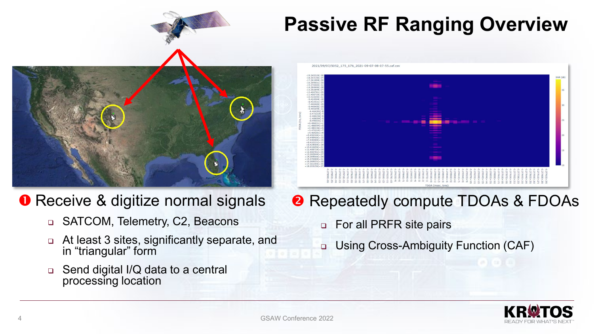

### **O** Receive & digitize normal signals

- □ SATCOM, Telemetry, C2, Beacons
- At least 3 sites, significantly separate, and in "triangular" form
- Send digital I/Q data to a central processing location

## **Passive RF Ranging Overview**



- **8** Repeatedly compute TDOAs & FDOAs
	- **p** For all PRFR site pairs
	- □ Using Cross-Ambiguity Function (CAF)

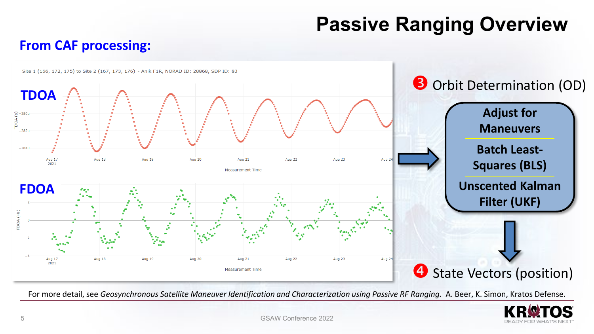## **Passive Ranging Overview**

#### **From CAF processing:**



For more detail, see *Geosynchronous Satellite Maneuver Identification and Characterization using Passive RF Ranging.* A. Beer, K. Simon, Kratos Defense.

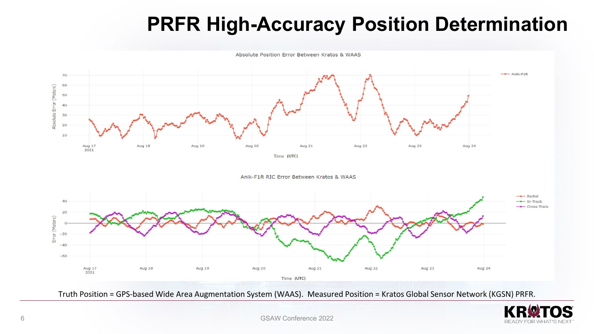## **PRFR High-Accuracy Position Determination**

Absolute Position Error Between Kratos & WAAS



Truth Position = GPS-based Wide Area Augmentation System (WAAS). Measured Position = Kratos Global Sensor Network (KGSN) PRFR.

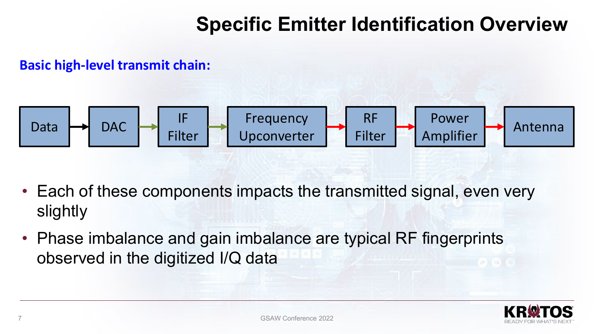## **Specific Emitter Identification Overview**

#### **Basic high-level transmit chain:**



- Each of these components impacts the transmitted signal, even very slightly
- Phase imbalance and gain imbalance are typical RF fingerprints observed in the digitized I/Q data

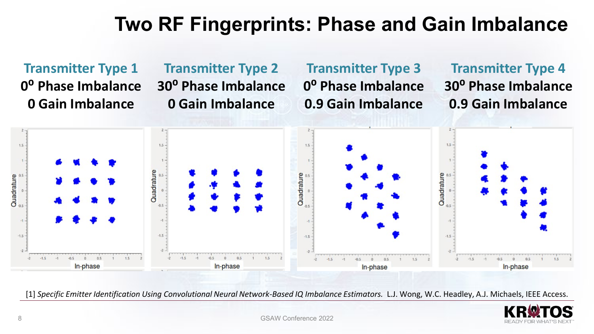## **Two RF Fingerprints: Phase and Gain Imbalance**

**Transmitter Type 1 0⁰ Phase Imbalance 0 Gain Imbalance**

#### **Transmitter Type 2 30⁰ Phase Imbalance 0 Gain Imbalance**

#### **Transmitter Type 3 0⁰ Phase Imbalance 0.9 Gain Imbalance**

**Transmitter Type 4 30⁰ Phase Imbalance 0.9 Gain Imbalance**



[1] Specific Emitter Identification Using Convolutional Neural Network-Based IQ Imbalance Estimators. L.J. Wong, W.C. Headley, A.J. Michaels, IEEE Access.

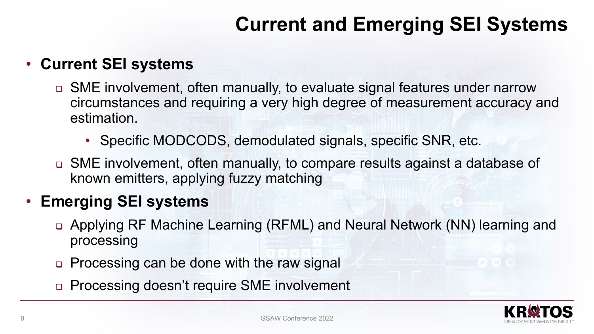## **Current and Emerging SEI Systems**

#### • **Current SEI systems**

- SME involvement, often manually, to evaluate signal features under narrow circumstances and requiring a very high degree of measurement accuracy and estimation.
	- Specific MODCODS, demodulated signals, specific SNR, etc.
- SME involvement, often manually, to compare results against a database of known emitters, applying fuzzy matching

#### • **Emerging SEI systems**

- Applying RF Machine Learning (RFML) and Neural Network (NN) learning and processing
- □ Processing can be done with the raw signal
- **Processing doesn't require SME involvement**

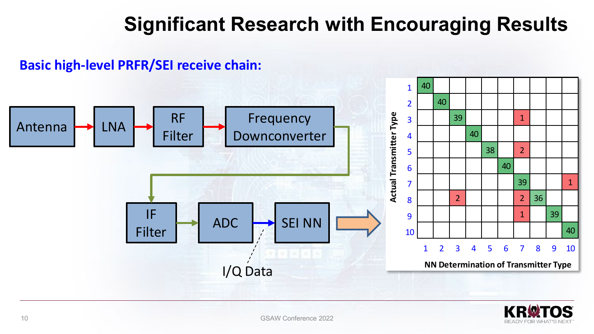## **Significant Research with Encouraging Results**

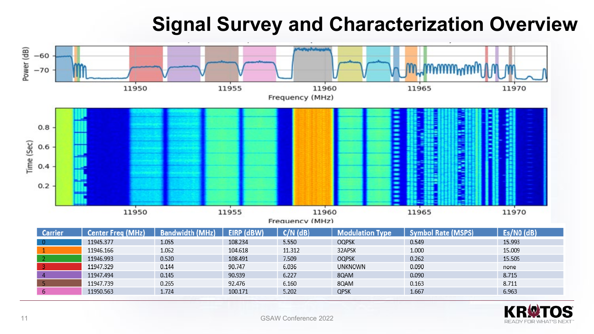## **Signal Survey and Characterization Overview**



| <b>Carrier</b> | <b>Center Freg (MHz)</b> | <b>Bandwidth (MHz)</b> | EIRP (dBW) | $C/N$ ( $dB$ ) | <b>Modulation Type</b> | <b>Symbol Rate (MSPS)</b> | Es/NO (dB) |
|----------------|--------------------------|------------------------|------------|----------------|------------------------|---------------------------|------------|
| $\Omega$       | 11945.377                | 1.055                  | 108.234    | 5.550          | <b>OQPSK</b>           | 0.549                     | 15.993     |
|                | 11946.166                | 1.062                  | 104.618    | 11.312         | 32APSK                 | 1.000                     | 15.009     |
|                | 11946.993                | 0.520                  | 108.491    | 7.509          | <b>OQPSK</b>           | 0.262                     | 15.505     |
|                | 11947.329                | 0.144                  | 90.747     | 6.036          | <b>UNKNOWN</b>         | 0.090                     | none       |
|                | 11947.494                | 0.145                  | 90.939     | 6.227          | 80AM                   | 0.090                     | 8.715      |
|                | 11947.739                | 0.265                  | 92.476     | 6.160          | 80AM                   | 0.163                     | 8.711      |
| 6              | 11950.563                | 1.724                  | 100.171    | 5.202          | QPSK                   | 1.667                     | 6.963      |

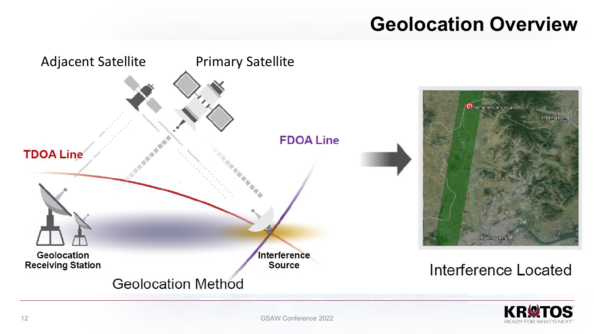## **Geolocation Overview**